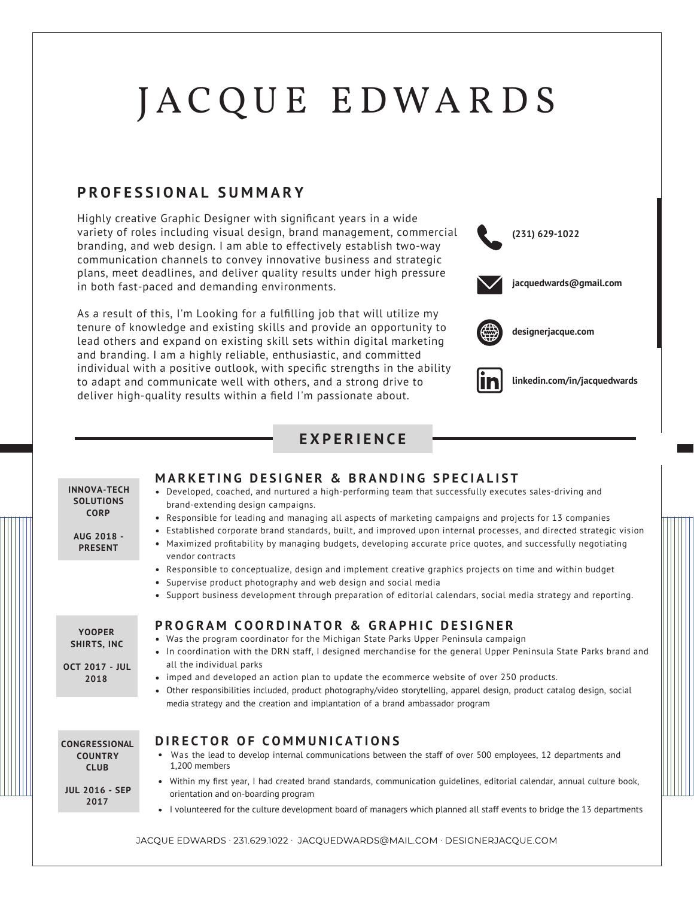# J A C Q U E E DWA R D S

#### **PROFESSIONAL SUMMAR Y**

Highly creative Graphic Designer with significant years in a wide variety of roles including visual design, brand management, commercial branding, and web design. I am able to effectively establish two-way communication channels to convey innovative business and strategic plans, meet deadlines, and deliver quality results under high pressure in both fast-paced and demanding environments.

As a result of this, I'm Looking for a fulfilling job that will utilize my tenure of knowledge and existing skills and provide an opportunity to lead others and expand on existing skill sets within digital marketing and branding. I am a highly reliable, enthusiastic, and committed individual with a positive outlook, with specific strengths in the ability to adapt and communicate well with others, and a strong drive to deliver high-quality results within a field I'm passionate about.





**linkedin.com/in/jacquedwards**

### **EXPERIENC E**

| <b>INNOVA-TECH</b><br><b>SOLUTIONS</b><br><b>CORP</b><br>AUG 2018 -<br><b>PRESENT</b> | <b>MARKETING DESIGNER &amp; BRANDING SPECIALIST</b><br>• Developed, coached, and nurtured a high-performing team that successfully executes sales-driving and<br>brand-extending design campaigns.<br>• Responsible for leading and managing all aspects of marketing campaigns and projects for 13 companies<br>• Established corporate brand standards, built, and improved upon internal processes, and directed strategic vision<br>• Maximized profitability by managing budgets, developing accurate price quotes, and successfully negotiating<br>vendor contracts<br>• Responsible to conceptualize, design and implement creative graphics projects on time and within budget<br>• Supervise product photography and web design and social media<br>• Support business development through preparation of editorial calendars, social media strategy and reporting. |
|---------------------------------------------------------------------------------------|------------------------------------------------------------------------------------------------------------------------------------------------------------------------------------------------------------------------------------------------------------------------------------------------------------------------------------------------------------------------------------------------------------------------------------------------------------------------------------------------------------------------------------------------------------------------------------------------------------------------------------------------------------------------------------------------------------------------------------------------------------------------------------------------------------------------------------------------------------------------------|
| <b>YOOPER</b><br>SHIRTS, INC<br><b>OCT 2017 - JUL</b><br>2018                         | <b>PROGRAM COORDINATOR &amp; GRAPHIC DESIGNER</b><br>• Was the program coordinator for the Michigan State Parks Upper Peninsula campaign<br>• In coordination with the DRN staff, I designed merchandise for the general Upper Peninsula State Parks brand and<br>all the individual parks<br>• imped and developed an action plan to update the ecommerce website of over 250 products.<br>• Other responsibilities included, product photography/video storytelling, apparel design, product catalog design, social<br>media strategy and the creation and implantation of a brand ambassador program                                                                                                                                                                                                                                                                      |
| CONGRESSIONAL<br><b>COUNTRY</b><br><b>CLUB</b><br><b>JUL 2016 - SEP</b><br>2017       | DIRECTOR OF COMMUNICATIONS<br>• Was the lead to develop internal communications between the staff of over 500 employees, 12 departments and<br>1.200 members<br>• Within my first year, I had created brand standards, communication quidelines, editorial calendar, annual culture book,<br>orientation and on-boarding program<br>I volunteered for the culture development board of managers which planned all staff events to bridge the 13 departments<br>$\bullet$                                                                                                                                                                                                                                                                                                                                                                                                     |
| TACOLIE EDWARDS + 231 629 1022 + TACOLIEDWARDS@MAIL COM + DESIGNERTACOLIE COM         |                                                                                                                                                                                                                                                                                                                                                                                                                                                                                                                                                                                                                                                                                                                                                                                                                                                                              |